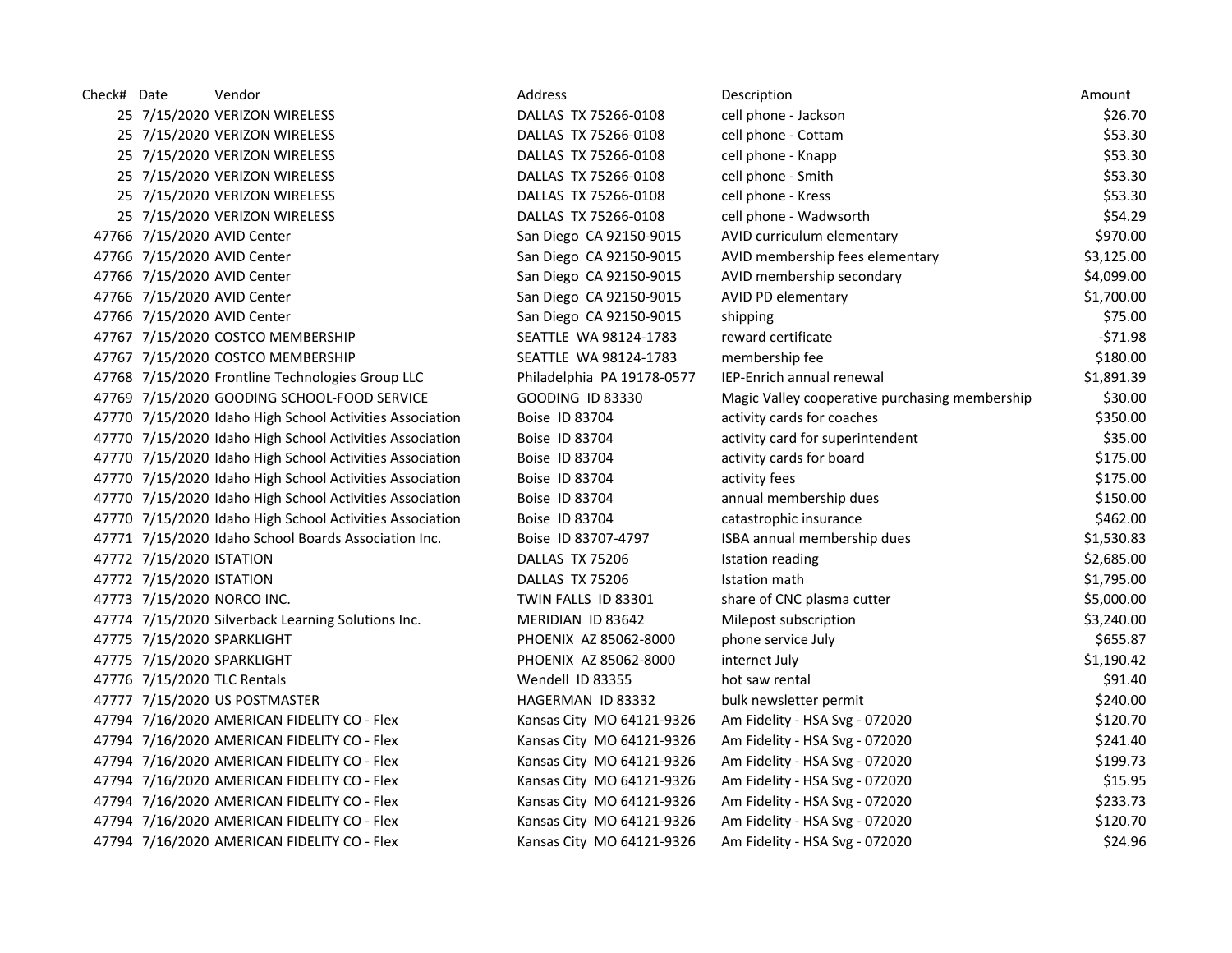| Check# Date |                             | Vendor                                                   | Address                    | Description                                    | Amount     |
|-------------|-----------------------------|----------------------------------------------------------|----------------------------|------------------------------------------------|------------|
|             |                             | 25 7/15/2020 VERIZON WIRELESS                            | DALLAS TX 75266-0108       | cell phone - Jackson                           | \$26.70    |
|             |                             | 25 7/15/2020 VERIZON WIRELESS                            | DALLAS TX 75266-0108       | cell phone - Cottam                            | \$53.30    |
|             |                             | 25 7/15/2020 VERIZON WIRELESS                            | DALLAS TX 75266-0108       | cell phone - Knapp                             | \$53.30    |
|             |                             | 25 7/15/2020 VERIZON WIRELESS                            | DALLAS TX 75266-0108       | cell phone - Smith                             | \$53.30    |
|             |                             | 25 7/15/2020 VERIZON WIRELESS                            | DALLAS TX 75266-0108       | cell phone - Kress                             | \$53.30    |
|             |                             | 25 7/15/2020 VERIZON WIRELESS                            | DALLAS TX 75266-0108       | cell phone - Wadwsorth                         | \$54.29    |
|             |                             | 47766 7/15/2020 AVID Center                              | San Diego CA 92150-9015    | AVID curriculum elementary                     | \$970.00   |
|             |                             | 47766 7/15/2020 AVID Center                              | San Diego CA 92150-9015    | AVID membership fees elementary                | \$3,125.00 |
|             |                             | 47766 7/15/2020 AVID Center                              | San Diego CA 92150-9015    | AVID membership secondary                      | \$4,099.00 |
|             |                             | 47766 7/15/2020 AVID Center                              | San Diego CA 92150-9015    | AVID PD elementary                             | \$1,700.00 |
|             |                             | 47766 7/15/2020 AVID Center                              | San Diego CA 92150-9015    | shipping                                       | \$75.00    |
|             |                             | 47767 7/15/2020 COSTCO MEMBERSHIP                        | SEATTLE WA 98124-1783      | reward certificate                             | $-571.98$  |
|             |                             | 47767 7/15/2020 COSTCO MEMBERSHIP                        | SEATTLE WA 98124-1783      | membership fee                                 | \$180.00   |
|             |                             | 47768 7/15/2020 Frontline Technologies Group LLC         | Philadelphia PA 19178-0577 | IEP-Enrich annual renewal                      | \$1,891.39 |
|             |                             | 47769 7/15/2020 GOODING SCHOOL-FOOD SERVICE              | <b>GOODING ID 83330</b>    | Magic Valley cooperative purchasing membership | \$30.00    |
|             |                             | 47770 7/15/2020 Idaho High School Activities Association | Boise ID 83704             | activity cards for coaches                     | \$350.00   |
|             |                             | 47770 7/15/2020 Idaho High School Activities Association | Boise ID 83704             | activity card for superintendent               | \$35.00    |
|             |                             | 47770 7/15/2020 Idaho High School Activities Association | Boise ID 83704             | activity cards for board                       | \$175.00   |
|             |                             | 47770 7/15/2020 Idaho High School Activities Association | Boise ID 83704             | activity fees                                  | \$175.00   |
|             |                             | 47770 7/15/2020 Idaho High School Activities Association | Boise ID 83704             | annual membership dues                         | \$150.00   |
|             |                             | 47770 7/15/2020 Idaho High School Activities Association | Boise ID 83704             | catastrophic insurance                         | \$462.00   |
|             |                             | 47771 7/15/2020 Idaho School Boards Association Inc.     | Boise ID 83707-4797        | ISBA annual membership dues                    | \$1,530.83 |
|             | 47772 7/15/2020 ISTATION    |                                                          | DALLAS TX 75206            | <b>Istation reading</b>                        | \$2,685.00 |
|             | 47772 7/15/2020 ISTATION    |                                                          | DALLAS TX 75206            | Istation math                                  | \$1,795.00 |
|             |                             | 47773 7/15/2020 NORCO INC.                               | TWIN FALLS ID 83301        | share of CNC plasma cutter                     | \$5,000.00 |
|             |                             | 47774 7/15/2020 Silverback Learning Solutions Inc.       | MERIDIAN ID 83642          | Milepost subscription                          | \$3,240.00 |
|             |                             | 47775 7/15/2020 SPARKLIGHT                               | PHOENIX AZ 85062-8000      | phone service July                             | \$655.87   |
|             |                             | 47775 7/15/2020 SPARKLIGHT                               | PHOENIX AZ 85062-8000      | internet July                                  | \$1,190.42 |
|             | 47776 7/15/2020 TLC Rentals |                                                          | Wendell ID 83355           | hot saw rental                                 | \$91.40    |
|             |                             | 47777 7/15/2020 US POSTMASTER                            | HAGERMAN ID 83332          | bulk newsletter permit                         | \$240.00   |
|             |                             | 47794 7/16/2020 AMERICAN FIDELITY CO - Flex              | Kansas City MO 64121-9326  | Am Fidelity - HSA Svg - 072020                 | \$120.70   |
|             |                             | 47794 7/16/2020 AMERICAN FIDELITY CO - Flex              | Kansas City MO 64121-9326  | Am Fidelity - HSA Svg - 072020                 | \$241.40   |
|             |                             | 47794 7/16/2020 AMERICAN FIDELITY CO - Flex              | Kansas City MO 64121-9326  | Am Fidelity - HSA Svg - 072020                 | \$199.73   |
|             |                             | 47794 7/16/2020 AMERICAN FIDELITY CO - Flex              | Kansas City MO 64121-9326  | Am Fidelity - HSA Svg - 072020                 | \$15.95    |
|             |                             | 47794 7/16/2020 AMERICAN FIDELITY CO - Flex              | Kansas City MO 64121-9326  | Am Fidelity - HSA Svg - 072020                 | \$233.73   |
|             |                             | 47794 7/16/2020 AMERICAN FIDELITY CO - Flex              | Kansas City MO 64121-9326  | Am Fidelity - HSA Svg - 072020                 | \$120.70   |
|             |                             | 47794 7/16/2020 AMERICAN FIDELITY CO - Flex              | Kansas City MO 64121-9326  | Am Fidelity - HSA Svg - 072020                 | \$24.96    |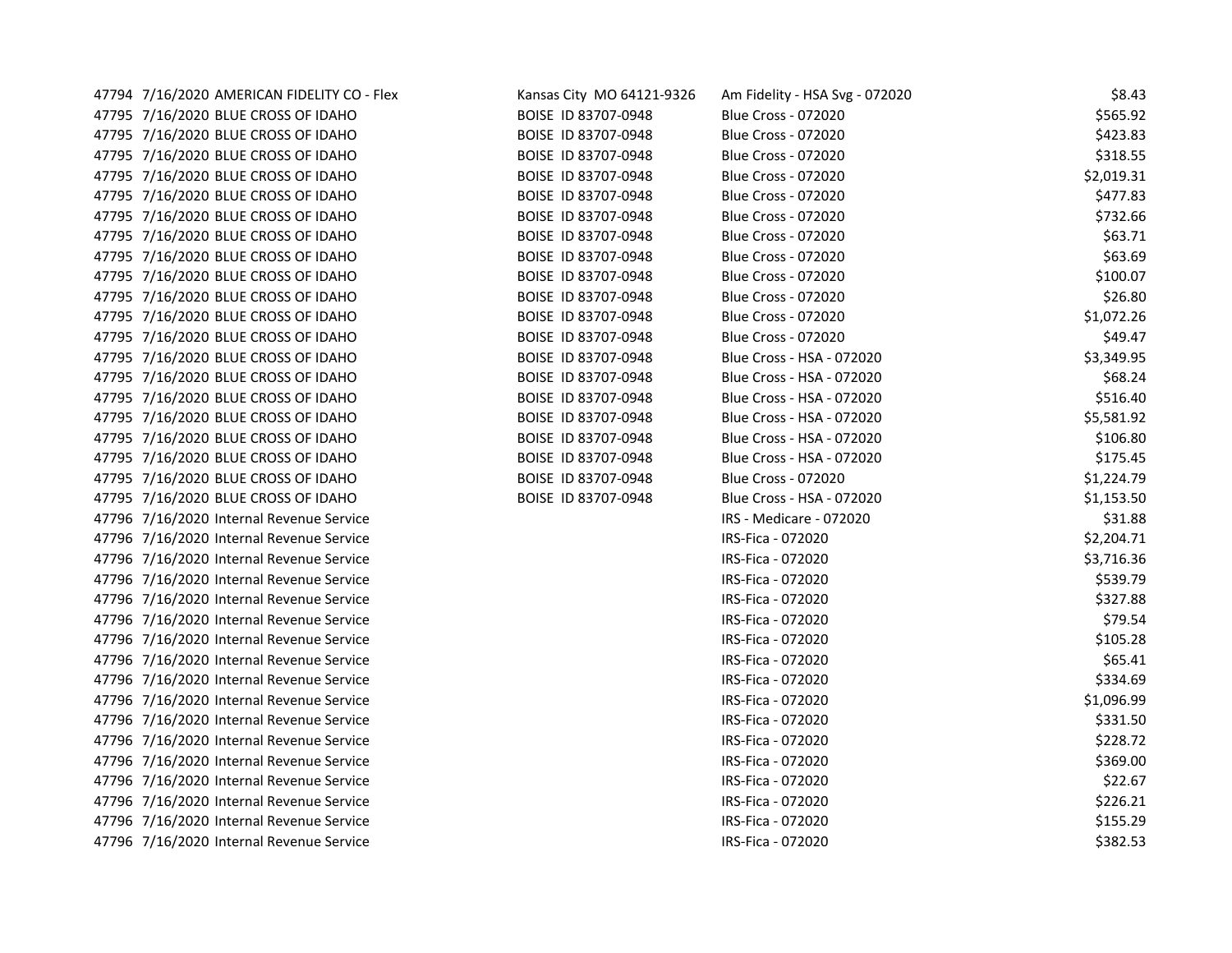| 47794 7/16/2020 AMERICAN FIDELITY CO - Flex | Kansas City MO 64121-9326 | Am Fidelity - HSA Svg - 072020 | \$8.43     |
|---------------------------------------------|---------------------------|--------------------------------|------------|
| 47795 7/16/2020 BLUE CROSS OF IDAHO         | BOISE ID 83707-0948       | <b>Blue Cross - 072020</b>     | \$565.92   |
| 47795 7/16/2020 BLUE CROSS OF IDAHO         | BOISE ID 83707-0948       | <b>Blue Cross - 072020</b>     | \$423.83   |
| 47795 7/16/2020 BLUE CROSS OF IDAHO         | BOISE ID 83707-0948       | <b>Blue Cross - 072020</b>     | \$318.55   |
| 47795 7/16/2020 BLUE CROSS OF IDAHO         | BOISE ID 83707-0948       | <b>Blue Cross - 072020</b>     | \$2,019.31 |
| 47795 7/16/2020 BLUE CROSS OF IDAHO         | BOISE ID 83707-0948       | <b>Blue Cross - 072020</b>     | \$477.83   |
| 47795 7/16/2020 BLUE CROSS OF IDAHO         | BOISE ID 83707-0948       | <b>Blue Cross - 072020</b>     | \$732.66   |
| 47795 7/16/2020 BLUE CROSS OF IDAHO         | BOISE ID 83707-0948       | <b>Blue Cross - 072020</b>     | \$63.71    |
| 47795 7/16/2020 BLUE CROSS OF IDAHO         | BOISE ID 83707-0948       | <b>Blue Cross - 072020</b>     | \$63.69    |
| 47795 7/16/2020 BLUE CROSS OF IDAHO         | BOISE ID 83707-0948       | <b>Blue Cross - 072020</b>     | \$100.07   |
| 47795 7/16/2020 BLUE CROSS OF IDAHO         | BOISE ID 83707-0948       | <b>Blue Cross - 072020</b>     | \$26.80    |
| 47795 7/16/2020 BLUE CROSS OF IDAHO         | BOISE ID 83707-0948       | <b>Blue Cross - 072020</b>     | \$1,072.26 |
| 47795 7/16/2020 BLUE CROSS OF IDAHO         | BOISE ID 83707-0948       | <b>Blue Cross - 072020</b>     | \$49.47    |
| 47795 7/16/2020 BLUE CROSS OF IDAHO         | BOISE ID 83707-0948       | Blue Cross - HSA - 072020      | \$3,349.95 |
| 47795 7/16/2020 BLUE CROSS OF IDAHO         | BOISE ID 83707-0948       | Blue Cross - HSA - 072020      | \$68.24    |
| 47795 7/16/2020 BLUE CROSS OF IDAHO         | BOISE ID 83707-0948       | Blue Cross - HSA - 072020      | \$516.40   |
| 47795 7/16/2020 BLUE CROSS OF IDAHO         | BOISE ID 83707-0948       | Blue Cross - HSA - 072020      | \$5,581.92 |
| 47795 7/16/2020 BLUE CROSS OF IDAHO         | BOISE ID 83707-0948       | Blue Cross - HSA - 072020      | \$106.80   |
| 47795 7/16/2020 BLUE CROSS OF IDAHO         | BOISE ID 83707-0948       | Blue Cross - HSA - 072020      | \$175.45   |
| 47795 7/16/2020 BLUE CROSS OF IDAHO         | BOISE ID 83707-0948       | <b>Blue Cross - 072020</b>     | \$1,224.79 |
| 47795 7/16/2020 BLUE CROSS OF IDAHO         | BOISE ID 83707-0948       | Blue Cross - HSA - 072020      | \$1,153.50 |
| 47796 7/16/2020 Internal Revenue Service    |                           | IRS - Medicare - 072020        | \$31.88    |
| 47796 7/16/2020 Internal Revenue Service    |                           | IRS-Fica - 072020              | \$2,204.71 |
| 47796 7/16/2020 Internal Revenue Service    |                           | IRS-Fica - 072020              | \$3,716.36 |
| 47796 7/16/2020 Internal Revenue Service    |                           | IRS-Fica - 072020              | \$539.79   |
| 47796 7/16/2020 Internal Revenue Service    |                           | IRS-Fica - 072020              | \$327.88   |
| 47796 7/16/2020 Internal Revenue Service    |                           | IRS-Fica - 072020              | \$79.54    |
| 47796 7/16/2020 Internal Revenue Service    |                           | IRS-Fica - 072020              | \$105.28   |
| 47796 7/16/2020 Internal Revenue Service    |                           | IRS-Fica - 072020              | \$65.41    |
| 47796 7/16/2020 Internal Revenue Service    |                           | IRS-Fica - 072020              | \$334.69   |
| 47796 7/16/2020 Internal Revenue Service    |                           | IRS-Fica - 072020              | \$1,096.99 |
| 47796 7/16/2020 Internal Revenue Service    |                           | IRS-Fica - 072020              | \$331.50   |
| 47796 7/16/2020 Internal Revenue Service    |                           | IRS-Fica - 072020              | \$228.72   |
| 47796 7/16/2020 Internal Revenue Service    |                           | IRS-Fica - 072020              | \$369.00   |
| 47796 7/16/2020 Internal Revenue Service    |                           | IRS-Fica - 072020              | \$22.67    |
| 47796 7/16/2020 Internal Revenue Service    |                           | IRS-Fica - 072020              | \$226.21   |
| 47796 7/16/2020 Internal Revenue Service    |                           | IRS-Fica - 072020              | \$155.29   |
| 47796 7/16/2020 Internal Revenue Service    |                           | IRS-Fica - 072020              | \$382.53   |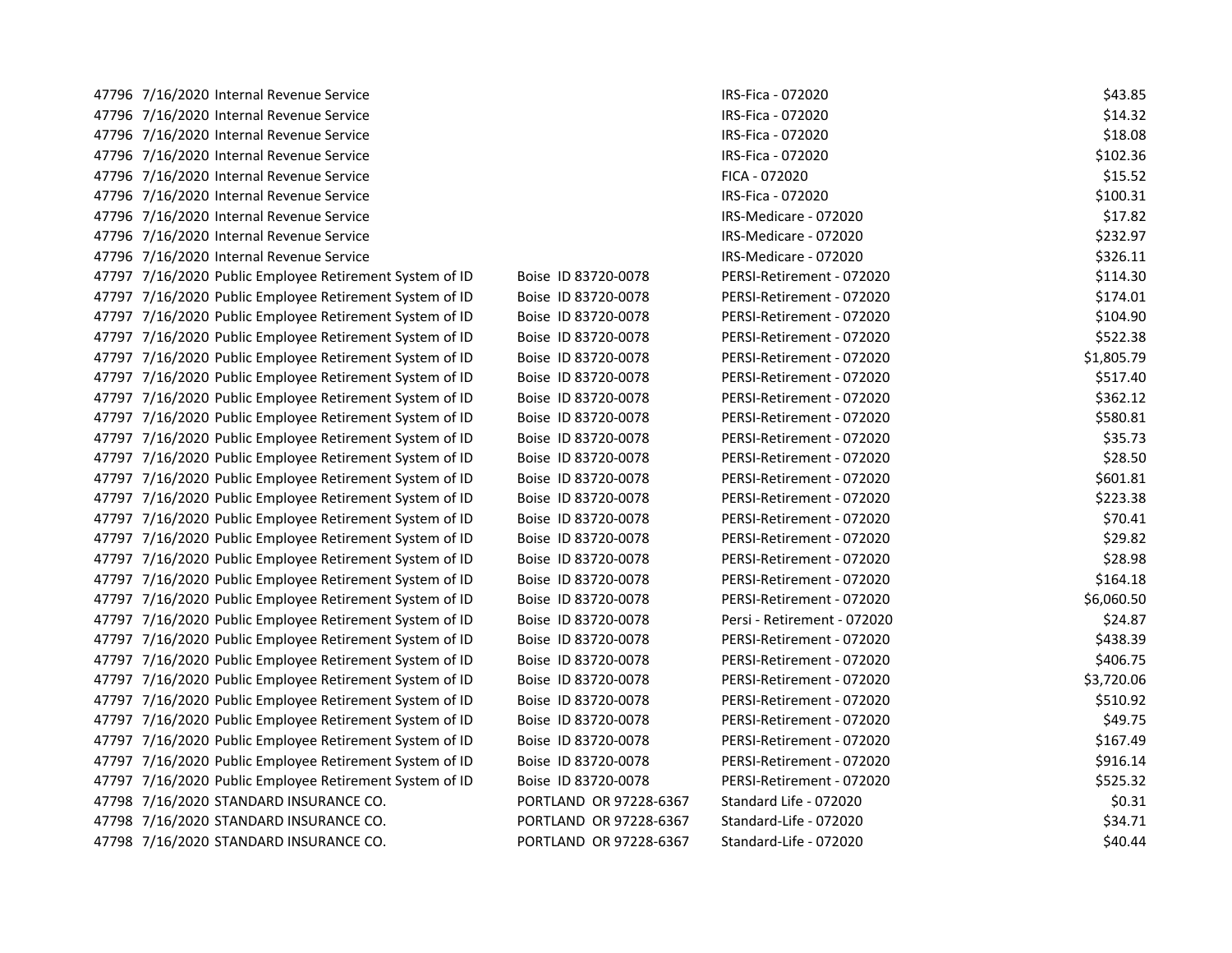| 47796 7/16/2020 Internal Revenue Service                |                        | IRS-Fica - 072020           | \$43.85    |
|---------------------------------------------------------|------------------------|-----------------------------|------------|
| 47796 7/16/2020 Internal Revenue Service                |                        | IRS-Fica - 072020           | \$14.32    |
| 47796 7/16/2020 Internal Revenue Service                |                        | IRS-Fica - 072020           | \$18.08    |
| 47796 7/16/2020 Internal Revenue Service                |                        | IRS-Fica - 072020           | \$102.36   |
| 47796 7/16/2020 Internal Revenue Service                |                        | FICA - 072020               | \$15.52    |
| 47796 7/16/2020 Internal Revenue Service                |                        | IRS-Fica - 072020           | \$100.31   |
| 47796 7/16/2020 Internal Revenue Service                |                        | IRS-Medicare - 072020       | \$17.82    |
| 47796 7/16/2020 Internal Revenue Service                |                        | IRS-Medicare - 072020       | \$232.97   |
| 47796 7/16/2020 Internal Revenue Service                |                        | IRS-Medicare - 072020       | \$326.11   |
| 47797 7/16/2020 Public Employee Retirement System of ID | Boise ID 83720-0078    | PERSI-Retirement - 072020   | \$114.30   |
| 47797 7/16/2020 Public Employee Retirement System of ID | Boise ID 83720-0078    | PERSI-Retirement - 072020   | \$174.01   |
| 47797 7/16/2020 Public Employee Retirement System of ID | Boise ID 83720-0078    | PERSI-Retirement - 072020   | \$104.90   |
| 47797 7/16/2020 Public Employee Retirement System of ID | Boise ID 83720-0078    | PERSI-Retirement - 072020   | \$522.38   |
| 47797 7/16/2020 Public Employee Retirement System of ID | Boise ID 83720-0078    | PERSI-Retirement - 072020   | \$1,805.79 |
| 47797 7/16/2020 Public Employee Retirement System of ID | Boise ID 83720-0078    | PERSI-Retirement - 072020   | \$517.40   |
| 47797 7/16/2020 Public Employee Retirement System of ID | Boise ID 83720-0078    | PERSI-Retirement - 072020   | \$362.12   |
| 47797 7/16/2020 Public Employee Retirement System of ID | Boise ID 83720-0078    | PERSI-Retirement - 072020   | \$580.81   |
| 47797 7/16/2020 Public Employee Retirement System of ID | Boise ID 83720-0078    | PERSI-Retirement - 072020   | \$35.73    |
| 47797 7/16/2020 Public Employee Retirement System of ID | Boise ID 83720-0078    | PERSI-Retirement - 072020   | \$28.50    |
| 47797 7/16/2020 Public Employee Retirement System of ID | Boise ID 83720-0078    | PERSI-Retirement - 072020   | \$601.81   |
| 47797 7/16/2020 Public Employee Retirement System of ID | Boise ID 83720-0078    | PERSI-Retirement - 072020   | \$223.38   |
| 47797 7/16/2020 Public Employee Retirement System of ID | Boise ID 83720-0078    | PERSI-Retirement - 072020   | \$70.41    |
| 47797 7/16/2020 Public Employee Retirement System of ID | Boise ID 83720-0078    | PERSI-Retirement - 072020   | \$29.82    |
| 47797 7/16/2020 Public Employee Retirement System of ID | Boise ID 83720-0078    | PERSI-Retirement - 072020   | \$28.98    |
| 47797 7/16/2020 Public Employee Retirement System of ID | Boise ID 83720-0078    | PERSI-Retirement - 072020   | \$164.18   |
| 47797 7/16/2020 Public Employee Retirement System of ID | Boise ID 83720-0078    | PERSI-Retirement - 072020   | \$6,060.50 |
| 47797 7/16/2020 Public Employee Retirement System of ID | Boise ID 83720-0078    | Persi - Retirement - 072020 | \$24.87    |
| 47797 7/16/2020 Public Employee Retirement System of ID | Boise ID 83720-0078    | PERSI-Retirement - 072020   | \$438.39   |
| 47797 7/16/2020 Public Employee Retirement System of ID | Boise ID 83720-0078    | PERSI-Retirement - 072020   | \$406.75   |
| 47797 7/16/2020 Public Employee Retirement System of ID | Boise ID 83720-0078    | PERSI-Retirement - 072020   | \$3,720.06 |
| 47797 7/16/2020 Public Employee Retirement System of ID | Boise ID 83720-0078    | PERSI-Retirement - 072020   | \$510.92   |
| 47797 7/16/2020 Public Employee Retirement System of ID | Boise ID 83720-0078    | PERSI-Retirement - 072020   | \$49.75    |
| 47797 7/16/2020 Public Employee Retirement System of ID | Boise ID 83720-0078    | PERSI-Retirement - 072020   | \$167.49   |
| 47797 7/16/2020 Public Employee Retirement System of ID | Boise ID 83720-0078    | PERSI-Retirement - 072020   | \$916.14   |
| 47797 7/16/2020 Public Employee Retirement System of ID | Boise ID 83720-0078    | PERSI-Retirement - 072020   | \$525.32   |
| 47798 7/16/2020 STANDARD INSURANCE CO.                  | PORTLAND OR 97228-6367 | Standard Life - 072020      | \$0.31     |
| 47798 7/16/2020 STANDARD INSURANCE CO.                  | PORTLAND OR 97228-6367 | Standard-Life - 072020      | \$34.71    |
| 47798 7/16/2020 STANDARD INSURANCE CO.                  | PORTLAND OR 97228-6367 | Standard-Life - 072020      | \$40.44    |